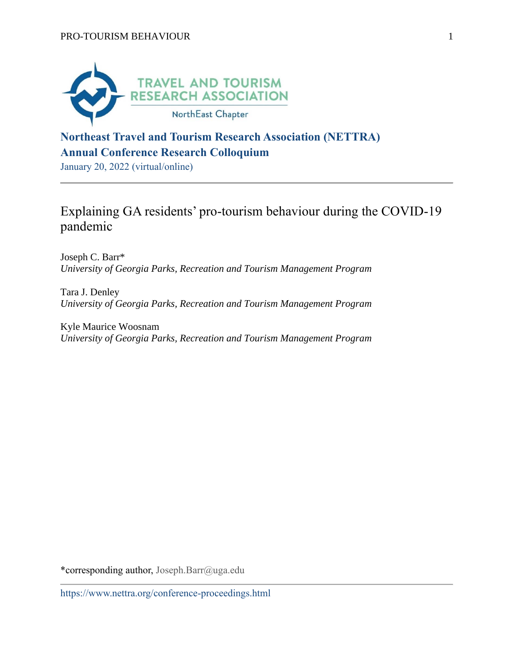

## **Northeast Travel and Tourism Research Association (NETTRA) Annual Conference Research Colloquium**

January 20, 2022 (virtual/online)

# Explaining GA residents' pro-tourism behaviour during the COVID-19 pandemic

Joseph C. Barr\* *University of Georgia Parks, Recreation and Tourism Management Program*

Tara J. Denley *University of Georgia Parks, Recreation and Tourism Management Program*

Kyle Maurice Woosnam *University of Georgia Parks, Recreation and Tourism Management Program*

\*corresponding author, Joseph.Barr@uga.edu

https://www.nettra.org/conference-proceedings.html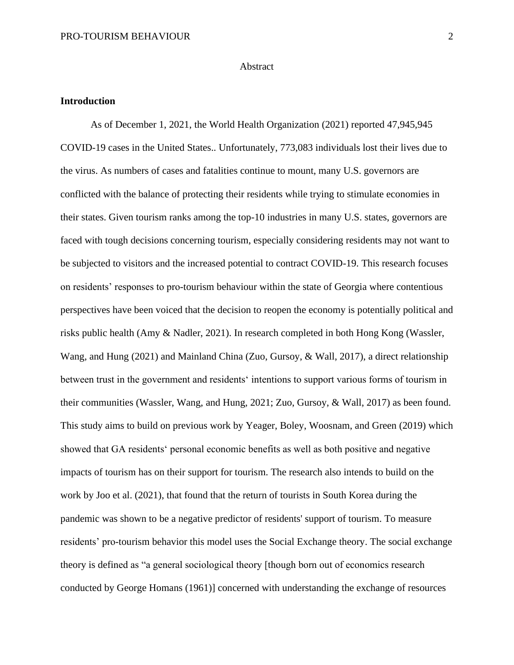#### **Abstract**

#### **Introduction**

As of December 1, 2021, the World Health Organization (2021) reported 47,945,945 COVID-19 cases in the United States.. Unfortunately, 773,083 individuals lost their lives due to the virus. As numbers of cases and fatalities continue to mount, many U.S. governors are conflicted with the balance of protecting their residents while trying to stimulate economies in their states. Given tourism ranks among the top-10 industries in many U.S. states, governors are faced with tough decisions concerning tourism, especially considering residents may not want to be subjected to visitors and the increased potential to contract COVID-19. This research focuses on residents' responses to pro-tourism behaviour within the state of Georgia where contentious perspectives have been voiced that the decision to reopen the economy is potentially political and risks public health (Amy & Nadler, 2021). In research completed in both Hong Kong (Wassler, Wang, and Hung (2021) and Mainland China (Zuo, Gursoy, & Wall, 2017), a direct relationship between trust in the government and residents' intentions to support various forms of tourism in their communities (Wassler, Wang, and Hung, 2021; Zuo, Gursoy, & Wall, 2017) as been found. This study aims to build on previous work by Yeager, Boley, Woosnam, and Green (2019) which showed that GA residents' personal economic benefits as well as both positive and negative impacts of tourism has on their support for tourism. The research also intends to build on the work by Joo et al. (2021), that found that the return of tourists in South Korea during the pandemic was shown to be a negative predictor of residents' support of tourism. To measure residents' pro-tourism behavior this model uses the Social Exchange theory. The social exchange theory is defined as "a general sociological theory [though born out of economics research conducted by George Homans (1961)] concerned with understanding the exchange of resources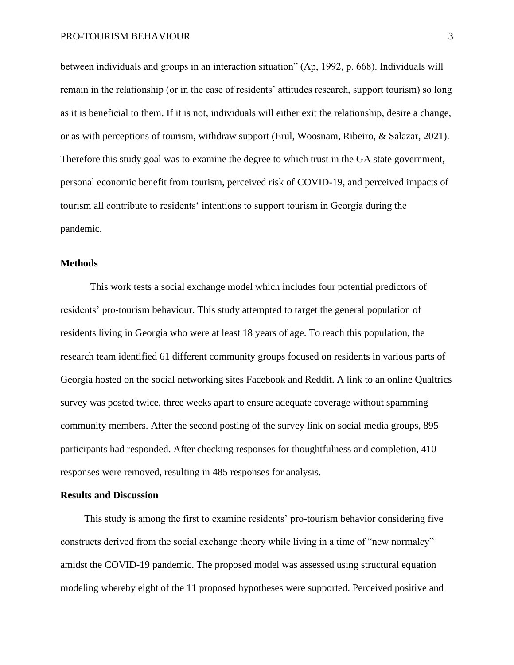between individuals and groups in an interaction situation" (Ap, 1992, p. 668). Individuals will remain in the relationship (or in the case of residents' attitudes research, support tourism) so long as it is beneficial to them. If it is not, individuals will either exit the relationship, desire a change, or as with perceptions of tourism, withdraw support (Erul, Woosnam, Ribeiro, & Salazar, 2021). Therefore this study goal was to examine the degree to which trust in the GA state government, personal economic benefit from tourism, perceived risk of COVID-19, and perceived impacts of tourism all contribute to residents' intentions to support tourism in Georgia during the pandemic.

#### **Methods**

This work tests a social exchange model which includes four potential predictors of residents' pro-tourism behaviour. This study attempted to target the general population of residents living in Georgia who were at least 18 years of age. To reach this population, the research team identified 61 different community groups focused on residents in various parts of Georgia hosted on the social networking sites Facebook and Reddit. A link to an online Qualtrics survey was posted twice, three weeks apart to ensure adequate coverage without spamming community members. After the second posting of the survey link on social media groups, 895 participants had responded. After checking responses for thoughtfulness and completion, 410 responses were removed, resulting in 485 responses for analysis.

### **Results and Discussion**

This study is among the first to examine residents' pro-tourism behavior considering five constructs derived from the social exchange theory while living in a time of "new normalcy" amidst the COVID-19 pandemic. The proposed model was assessed using structural equation modeling whereby eight of the 11 proposed hypotheses were supported. Perceived positive and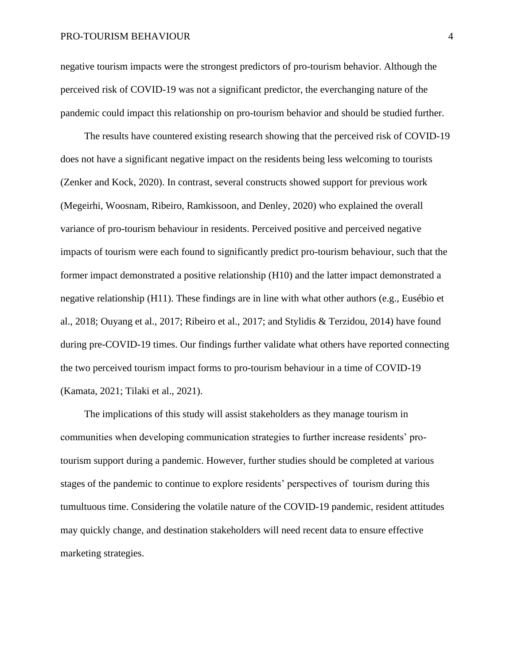negative tourism impacts were the strongest predictors of pro-tourism behavior. Although the perceived risk of COVID-19 was not a significant predictor, the everchanging nature of the pandemic could impact this relationship on pro-tourism behavior and should be studied further.

The results have countered existing research showing that the perceived risk of COVID-19 does not have a significant negative impact on the residents being less welcoming to tourists (Zenker and Kock, 2020). In contrast, several constructs showed support for previous work (Megeirhi, Woosnam, Ribeiro, Ramkissoon, and Denley, 2020) who explained the overall variance of pro-tourism behaviour in residents. Perceived positive and perceived negative impacts of tourism were each found to significantly predict pro-tourism behaviour, such that the former impact demonstrated a positive relationship (H10) and the latter impact demonstrated a negative relationship (H11). These findings are in line with what other authors (e.g., Eusébio et al., 2018; Ouyang et al., 2017; Ribeiro et al., 2017; and Stylidis & Terzidou, 2014) have found during pre-COVID-19 times. Our findings further validate what others have reported connecting the two perceived tourism impact forms to pro-tourism behaviour in a time of COVID-19 (Kamata, 2021; Tilaki et al., 2021).

The implications of this study will assist stakeholders as they manage tourism in communities when developing communication strategies to further increase residents' protourism support during a pandemic. However, further studies should be completed at various stages of the pandemic to continue to explore residents' perspectives of tourism during this tumultuous time. Considering the volatile nature of the COVID-19 pandemic, resident attitudes may quickly change, and destination stakeholders will need recent data to ensure effective marketing strategies.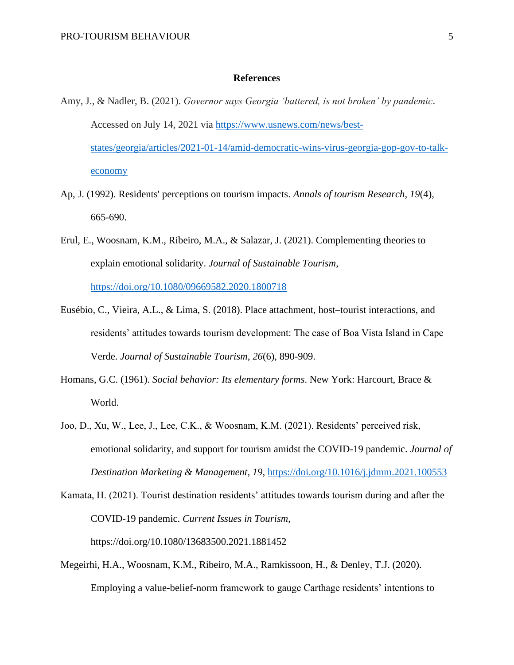#### **References**

- Amy, J., & Nadler, B. (2021). *Governor says Georgia 'battered, is not broken' by pandemic*. Accessed on July 14, 2021 via [https://www.usnews.com/news/best](https://www.usnews.com/news/best-states/georgia/articles/2021-01-14/amid-democratic-wins-virus-georgia-gop-gov-to-talk-economy)[states/georgia/articles/2021-01-14/amid-democratic-wins-virus-georgia-gop-gov-to-talk](https://www.usnews.com/news/best-states/georgia/articles/2021-01-14/amid-democratic-wins-virus-georgia-gop-gov-to-talk-economy)[economy](https://www.usnews.com/news/best-states/georgia/articles/2021-01-14/amid-democratic-wins-virus-georgia-gop-gov-to-talk-economy)
- Ap, J. (1992). Residents' perceptions on tourism impacts. *Annals of tourism Research*, *19*(4), 665-690.
- Erul, E., Woosnam, K.M., Ribeiro, M.A., & Salazar, J. (2021). Complementing theories to explain emotional solidarity. *Journal of Sustainable Tourism*, <https://doi.org/10.1080/09669582.2020.1800718>
- Eusébio, C., Vieira, A.L., & Lima, S. (2018). Place attachment, host–tourist interactions, and residents' attitudes towards tourism development: The case of Boa Vista Island in Cape Verde. *Journal of Sustainable Tourism*, *26*(6), 890-909.
- Homans, G.C. (1961). *Social behavior: Its elementary forms*. New York: Harcourt, Brace & World.
- Joo, D., Xu, W., Lee, J., Lee, C.K., & Woosnam, K.M. (2021). Residents' perceived risk, emotional solidarity, and support for tourism amidst the COVID-19 pandemic. *Journal of Destination Marketing & Management*, *19*,<https://doi.org/10.1016/j.jdmm.2021.100553>
- Kamata, H. (2021). Tourist destination residents' attitudes towards tourism during and after the COVID-19 pandemic. *Current Issues in Tourism*, https://doi.org/10.1080/13683500.2021.1881452
- Megeirhi, H.A., Woosnam, K.M., Ribeiro, M.A., Ramkissoon, H., & Denley, T.J. (2020). Employing a value-belief-norm framework to gauge Carthage residents' intentions to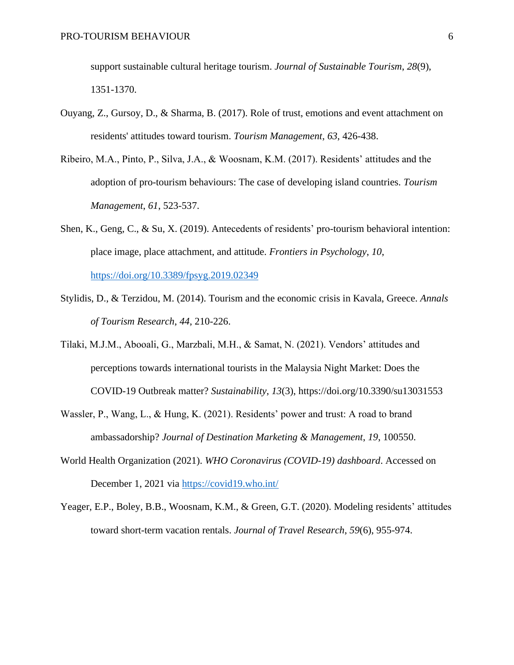support sustainable cultural heritage tourism. *Journal of Sustainable Tourism*, *28*(9), 1351-1370.

- Ouyang, Z., Gursoy, D., & Sharma, B. (2017). Role of trust, emotions and event attachment on residents' attitudes toward tourism. *Tourism Management*, *63*, 426-438.
- Ribeiro, M.A., Pinto, P., Silva, J.A., & Woosnam, K.M. (2017). Residents' attitudes and the adoption of pro-tourism behaviours: The case of developing island countries. *Tourism Management*, *61*, 523-537.
- Shen, K., Geng, C., & Su, X. (2019). Antecedents of residents' pro-tourism behavioral intention: place image, place attachment, and attitude. *Frontiers in Psychology*, *10*, <https://doi.org/10.3389/fpsyg.2019.02349>
- Stylidis, D., & Terzidou, M. (2014). Tourism and the economic crisis in Kavala, Greece. *Annals of Tourism Research*, *44*, 210-226.
- Tilaki, M.J.M., Abooali, G., Marzbali, M.H., & Samat, N. (2021). Vendors' attitudes and perceptions towards international tourists in the Malaysia Night Market: Does the COVID-19 Outbreak matter? *Sustainability*, *13*(3), https://doi.org/10.3390/su13031553
- Wassler, P., Wang, L., & Hung, K. (2021). Residents' power and trust: A road to brand ambassadorship? *Journal of Destination Marketing & Management*, *19*, 100550.
- World Health Organization (2021). *WHO Coronavirus (COVID-19) dashboard*. Accessed on December 1, 2021 via<https://covid19.who.int/>
- Yeager, E.P., Boley, B.B., Woosnam, K.M., & Green, G.T. (2020). Modeling residents' attitudes toward short-term vacation rentals. *Journal of Travel Research*, *59*(6), 955-974.